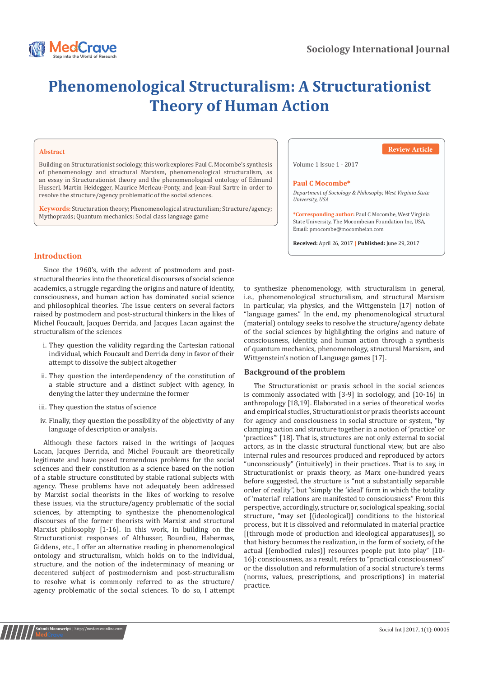

# **Phenomenological Structuralism: A Structurationist Theory of Human Action**

#### **Abstract**

Building on Structurationist sociology, this work explores Paul C. Mocombe's synthesis of phenomenology and structural Marxism, phenomenological structuralism, as an essay in Structurationist theory and the phenomenological ontology of Edmund Husserl, Martin Heidegger, Maurice Merleau-Ponty, and Jean-Paul Sartre in order to resolve the structure/agency problematic of the social sciences.

**Keywords:** Structuration theory; Phenomenological structuralism; Structure/agency; Mythopraxis; Quantum mechanics; Social class language game

**Review Article**

Volume 1 Issue 1 - 2017

#### Paul C Mocombe\*

*Department of Sociology & Philosophy, West Virginia State University, USA*

**\*Corresponding author:** Paul C Mocombe, West Virginia State University, The Mocombeian Foundation Inc, USA, Email: pmocombe@mocombeian.com

**Received:** April 26, 2017 **| Published:** June 29, 2017

# **Introduction**

academics, a struggle regarding the origins and nature of identity, consciousness, and human action has dominated social science and philosophical theories. The issue centers on several factors raised by postmodern and post-structural thinkers in the likes of Michel Foucault, Jacques Derrida, and Jacques Lacan against the structuralism of the sciences Since the 1960's, with the advent of postmodern and poststructural theories into the theoretical discourses of social science

- i. They question the validity regarding the Cartesian rational individual, which Foucault and Derrida deny in favor of their attempt to dissolve the subject altogether
- ii. They question the interdependency of the constitution of a stable structure and a distinct subject with agency, in denying the latter they undermine the former
- iii. They question the status of science
- iv. Finally, they question the possibility of the objectivity of any language of description or analysis.

Although these factors raised in the writings of Jacques Lacan, Jacques Derrida, and Michel Foucault are theoretically legitimate and have posed tremendous problems for the social sciences and their constitution as a science based on the notion of a stable structure constituted by stable rational subjects with agency. These problems have not adequately been addressed by Marxist social theorists in the likes of working to resolve these issues, via the structure/agency problematic of the social sciences, by attempting to synthesize the phenomenological discourses of the former theorists with Marxist and structural Marxist philosophy [1-16]. In this work, in building on the Structurationist responses of Althusser, Bourdieu, Habermas, Giddens, etc., I offer an alternative reading in phenomenological ontology and structuralism, which holds on to the individual, structure, and the notion of the indeterminacy of meaning or decentered subject of postmodernism and post-structuralism to resolve what is commonly referred to as the structure/ agency problematic of the social sciences. To do so, I attempt to synthesize phenomenology, with structuralism in general, i.e., phenomenological structuralism, and structural Marxism in particular, via physics, and the Wittgenstein [17] notion of "language games." In the end, my phenomenological structural (material) ontology seeks to resolve the structure/agency debate of the social sciences by highlighting the origins and nature of consciousness, identity, and human action through a synthesis of quantum mechanics, phenomenology, structural Marxism, and Wittgenstein's notion of Language games [17].

## **Background of the problem**

The Structurationist or praxis school in the social sciences is commonly associated with [3-9] in sociology, and [10-16] in anthropology [18,19]. Elaborated in a series of theoretical works and empirical studies, Structurationist or praxis theorists account for agency and consciousness in social structure or system, "by clamping action and structure together in a notion of 'practice' or 'practices'" [18]. That is, structures are not only external to social actors, as in the classic structural functional view, but are also internal rules and resources produced and reproduced by actors "unconsciously" (intuitively) in their practices. That is to say, in Structurationist or praxis theory, as Marx one-hundred years before suggested, the structure is "not a substantially separable order of reality", but "simply the 'ideal' form in which the totality of 'material' relations are manifested to consciousness" From this perspective, accordingly, structure or, sociological speaking, social structure, "may set [(ideological)] conditions to the historical process, but it is dissolved and reformulated in material practice [(through mode of production and ideological apparatuses)], so that history becomes the realization, in the form of society, of the actual [(embodied rules)] resources people put into play" [10- 16]: consciousness, as a result, refers to "practical consciousness" or the dissolution and reformulation of a social structure's terms (norms, values, prescriptions, and proscriptions) in material practice.

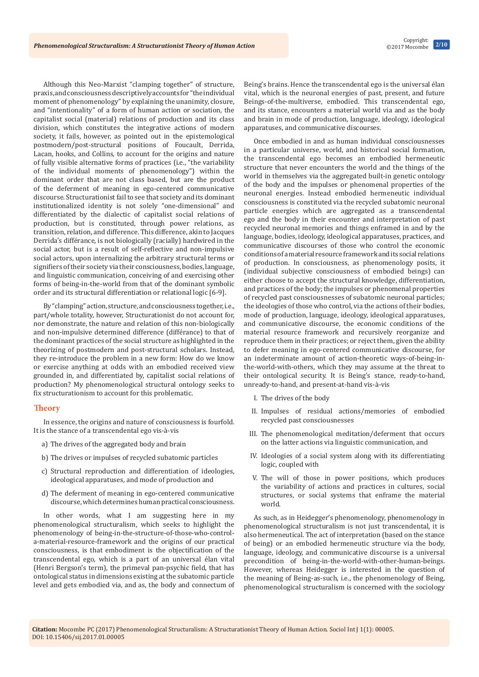Although this Neo-Marxist "clamping together" of structure, praxis, and consciousness descriptively accounts for "the individual moment of phenomenology" by explaining the unanimity, closure, and "intentionality" of a form of human action or sociation, the capitalist social (material) relations of production and its class division, which constitutes the integrative actions of modern society, it fails, however, as pointed out in the epistemological postmodern/post-structural positions of Foucault, Derrida, Lacan, hooks, and Collins, to account for the origins and nature of fully visible alternative forms of practices (i.e., "the variability of the individual moments of phenomenology") within the dominant order that are not class based, but are the product of the deferment of meaning in ego-centered communicative discourse. Structurationist fail to see that society and its dominant institutionalized identity is not solely "one-dimensional" and differentiated by the dialectic of capitalist social relations of production, but is constituted, through power relations, as transition, relation, and difference. This difference, akin to Jacques Derrida's différance, is not biologically (racially) hardwired in the social actor, but is a result of self-reflective and non-impulsive social actors, upon internalizing the arbitrary structural terms or signifiers of their society via their consciousness, bodies, language, and linguistic communication, conceiving of and exercising other forms of being-in-the-world from that of the dominant symbolic order and its structural differentiation or relational logic [6-9].

By "clamping" action, structure, and consciousness together, i.e., part/whole totality, however, Structurationist do not account for, nor demonstrate, the nature and relation of this non-biologically and non-impulsive determined difference (différance) to that of the dominant practices of the social structure as highlighted in the theorizing of postmodern and post-structural scholars. Instead, they re-introduce the problem in a new form: How do we know or exercise anything at odds with an embodied received view grounded in, and differentiated by, capitalist social relations of production? My phenomenological structural ontology seeks to fix structurationism to account for this problematic.

#### **Theory**

In essence, the origins and nature of consciousness is fourfold. It is the stance of a transcendental ego vis-à-vis

- a) The drives of the aggregated body and brain
- b) The drives or impulses of recycled subatomic particles
- c) Structural reproduction and differentiation of ideologies, ideological apparatuses, and mode of production and
- d) The deferment of meaning in ego-centered communicative discourse, which determines human practical consciousness.

In other words, what I am suggesting here in my phenomenological structuralism, which seeks to highlight the phenomenology of being-in-the-structure-of-those-who-controla-material-resource-framework and the origins of our practical consciousness, is that embodiment is the objectification of the transcendental ego, which is a part of an universal élan vital (Henri Bergson's term), the primeval pan-psychic field, that has ontological status in dimensions existing at the subatomic particle level and gets embodied via, and as, the body and connectum of Being's brains. Hence the transcendental ego is the universal élan vital, which is the neuronal energies of past, present, and future Beings-of-the-multiverse, embodied. This transcendental ego, and its stance, encounters a material world via and as the body and brain in mode of production, language, ideology, ideological apparatuses, and communicative discourses.

Once embodied in and as human individual consciousnesses in a particular universe, world, and historical social formation, the transcendental ego becomes an embodied hermeneutic structure that never encounters the world and the things of the world in themselves via the aggregated built-in genetic ontology of the body and the impulses or phenomenal properties of the neuronal energies. Instead embodied hermeneutic individual consciousness is constituted via the recycled subatomic neuronal particle energies which are aggregated as a transcendental ego and the body in their encounter and interpretation of past recycled neuronal memories and things enframed in and by the language, bodies, ideology, ideological apparatuses, practices, and communicative discourses of those who control the economic conditions of a material resource framework and its social relations of production. In consciousness, as phenomenology posits, it (individual subjective consciousness of embodied beings) can either choose to accept the structural knowledge, differentiation, and practices of the body; the impulses or phenomenal properties of recycled past consciousnesses of subatomic neuronal particles; the ideologies of those who control, via the actions of their bodies, mode of production, language, ideology, ideological apparatuses, and communicative discourse, the economic conditions of the material resource framework and recursively reorganize and reproduce them in their practices; or reject them, given the ability to defer meaning in ego-centered communicative discourse, for an indeterminate amount of action-theoretic ways-of-being-inthe-world-with-others, which they may assume at the threat to their ontological security. It is Being's stance, ready-to-hand, unready-to-hand, and present-at-hand vis-à-vis

- I. The drives of the body
- II. Impulses of residual actions/memories of embodied recycled past consciousnesses
- III. The phenomenological meditation/deferment that occurs on the latter actions via linguistic communication, and
- IV. Ideologies of a social system along with its differentiating logic, coupled with
- V. The will of those in power positions, which produces the variability of actions and practices in cultures, social structures, or social systems that enframe the material world.

As such, as in Heidegger's phenomenology, phenomenology in phenomenological structuralism is not just transcendental, it is also hermeneutical. The act of interpretation (based on the stance of being) or an embodied hermeneutic structure via the body, language, ideology, and communicative discourse is a universal precondition of being-in-the-world-with-other-human-beings. However, whereas Heidegger is interested in the question of the meaning of Being-as-such, i.e., the phenomenology of Being, phenomenological structuralism is concerned with the sociology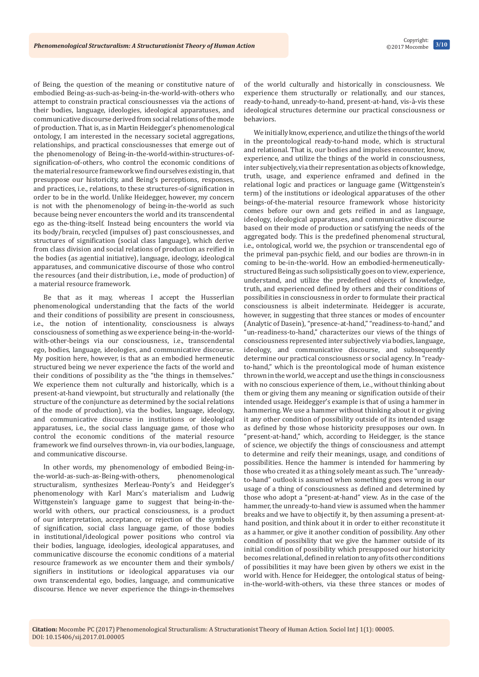of Being, the question of the meaning or constitutive nature of embodied Being-as-such-as-being-in-the-world-with-others who attempt to constrain practical consciousnesses via the actions of their bodies, language, ideologies, ideological apparatuses, and communicative discourse derived from social relations of the mode of production. That is, as in Martin Heidegger's phenomenological ontology, I am interested in the necessary societal aggregations, relationships, and practical consciousnesses that emerge out of the phenomenology of Being-in-the-world-within-structures-ofsignification-of-others, who control the economic conditions of the material resource framework we find ourselves existing in, that presuppose our historicity, and Being's perceptions, responses, and practices, i.e., relations, to these structures-of-signification in order to be in the world. Unlike Heidegger, however, my concern is not with the phenomenology of being-in-the-world as such because being never encounters the world and its transcendental ego as the-thing-itself. Instead being encounters the world via its body/brain, recycled (impulses of) past consciousnesses, and structures of signification (social class language), which derive from class division and social relations of production as reified in the bodies (as agential initiative), language, ideology, ideological apparatuses, and communicative discourse of those who control the resources (and their distribution, i.e., mode of production) of a material resource framework.

Be that as it may, whereas I accept the Husserlian phenomenological understanding that the facts of the world and their conditions of possibility are present in consciousness, i.e., the notion of intentionality, consciousness is always consciousness of something as we experience being-in-the-worldwith-other-beings via our consciousness, i.e., transcendental ego, bodies, language, ideologies, and communicative discourse. My position here, however, is that as an embodied hermeneutic structured being we never experience the facts of the world and their conditions of possibility as the "the things in themselves." We experience them not culturally and historically, which is a present-at-hand viewpoint, but structurally and relationally (the structure of the conjuncture as determined by the social relations of the mode of production), via the bodies, language, ideology, and communicative discourse in institutions or ideological apparatuses, i.e., the social class language game, of those who control the economic conditions of the material resource framework we find ourselves thrown-in, via our bodies, language, and communicative discourse.

In other words, my phenomenology of embodied Being-in-<br>
--world-as-such-as-Being-with-others, phenomenological the-world-as-such-as-Being-with-others, structuralism, synthesizes Merleau-Ponty's and Heidegger's phenomenology with Karl Marx's materialism and Ludwig Wittgenstein's language game to suggest that being-in-theworld with others, our practical consciousness, is a product of our interpretation, acceptance, or rejection of the symbols of signification, social class language game, of those bodies in institutional/ideological power positions who control via their bodies, language, ideologies, ideological apparatuses, and communicative discourse the economic conditions of a material resource framework as we encounter them and their symbols/ signifiers in institutions or ideological apparatuses via our own transcendental ego, bodies, language, and communicative discourse. Hence we never experience the things-in-themselves

of the world culturally and historically in consciousness. We experience them structurally or relationally, and our stances, ready-to-hand, unready-to-hand, present-at-hand, vis-à-vis these ideological structures determine our practical consciousness or behaviors.

We initially know, experience, and utilize the things of the world in the preontological ready-to-hand mode, which is structural and relational. That is, our bodies and impulses encounter, know, experience, and utilize the things of the world in consciousness, inter subjectively, via their representation as objects of knowledge, truth, usage, and experience enframed and defined in the relational logic and practices or language game (Wittgenstein's term) of the institutions or ideological apparatuses of the other beings-of-the-material resource framework whose historicity comes before our own and gets reified in and as language, ideology, ideological apparatuses, and communicative discourse based on their mode of production or satisfying the needs of the aggregated body. This is the predefined phenomenal structural, i.e., ontological, world we, the psychion or transcendental ego of the primeval pan-psychic field, and our bodies are thrown-in in coming to be-in-the-world. How an embodied-hermeneuticallystructured Being as such solipsistically goes on to view, experience, understand, and utilize the predefined objects of knowledge, truth, and experienced defined by others and their conditions of possibilities in consciousness in order to formulate their practical consciousness is albeit indeterminate. Heidegger is accurate, however, in suggesting that three stances or modes of encounter (Analytic of Dasein), "presence-at-hand," "readiness-to-hand," and "un-readiness-to-hand," characterizes our views of the things of consciousness represented inter subjectively via bodies, language, ideology, and communicative discourse, and subsequently determine our practical consciousness or social agency. In "readyto-hand," which is the preontological mode of human existence thrown in the world, we accept and use the things in consciousness with no conscious experience of them, i.e., without thinking about them or giving them any meaning or signification outside of their intended usage. Heidegger's example is that of using a hammer in hammering. We use a hammer without thinking about it or giving it any other condition of possibility outside of its intended usage as defined by those whose historicity presupposes our own. In "present-at-hand," which, according to Heidegger, is the stance of science, we objectify the things of consciousness and attempt to determine and reify their meanings, usage, and conditions of possibilities. Hence the hammer is intended for hammering by those who created it as a thing solely meant as such. The "unreadyto-hand" outlook is assumed when something goes wrong in our usage of a thing of consciousness as defined and determined by those who adopt a "present-at-hand" view. As in the case of the hammer, the unready-to-hand view is assumed when the hammer breaks and we have to objectify it, by then assuming a present-athand position, and think about it in order to either reconstitute it as a hammer, or give it another condition of possibility. Any other condition of possibility that we give the hammer outside of its initial condition of possibility which presupposed our historicity becomes relational, defined in relation to any of its other conditions of possibilities it may have been given by others we exist in the world with. Hence for Heidegger, the ontological status of beingin-the-world-with-others, via these three stances or modes of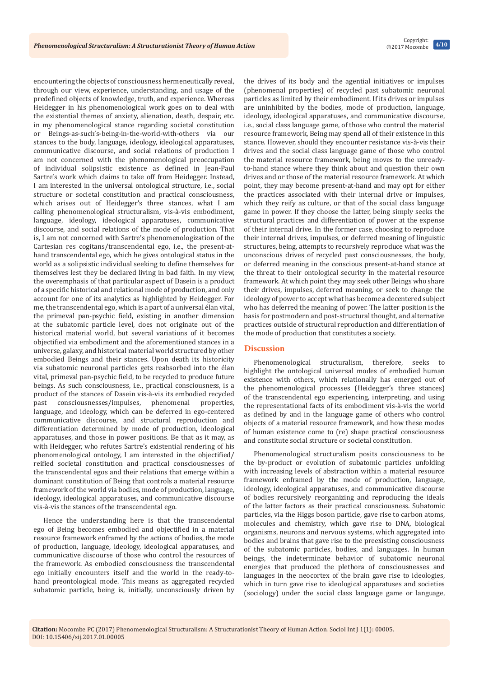encountering the objects of consciousness hermeneutically reveal, through our view, experience, understanding, and usage of the predefined objects of knowledge, truth, and experience. Whereas Heidegger in his phenomenological work goes on to deal with the existential themes of anxiety, alienation, death, despair, etc. in my phenomenological stance regarding societal constitution or Beings-as-such's-being-in-the-world-with-others via our stances to the body, language, ideology, ideological apparatuses, communicative discourse, and social relations of production I am not concerned with the phenomenological preoccupation of individual solipsistic existence as defined in Jean-Paul Sartre's work which claims to take off from Heidegger. Instead, I am interested in the universal ontological structure, i.e., social structure or societal constitution and practical consciousness, which arises out of Heidegger's three stances, what I am calling phenomenological structuralism, vis-à-vis embodiment, language, ideology, ideological apparatuses, communicative discourse, and social relations of the mode of production. That is, I am not concerned with Sartre's phenomenologization of the Cartesian res cogitans/transcendental ego, i.e., the present-athand transcendental ego, which he gives ontological status in the world as a solipsistic individual seeking to define themselves for themselves lest they be declared living in bad faith. In my view, the overemphasis of that particular aspect of Dasein is a product of a specific historical and relational mode of production, and only account for one of its analytics as highlighted by Heidegger. For me, the transcendental ego, which is a part of a universal élan vital, the primeval pan-psychic field, existing in another dimension at the subatomic particle level, does not originate out of the historical material world, but several variations of it becomes objectified via embodiment and the aforementioned stances in a universe, galaxy, and historical material world structured by other embodied Beings and their stances. Upon death its historicity via subatomic neuronal particles gets reabsorbed into the élan vital, primeval pan-psychic field, to be recycled to produce future beings. As such consciousness, i.e., practical consciousness, is a product of the stances of Dasein vis-à-vis its embodied recycled<br>past consciousnesses/impulses, phenomenal properties, consciousnesses/impulses, phenomenal language, and ideology, which can be deferred in ego-centered communicative discourse, and structural reproduction and differentiation determined by mode of production, ideological apparatuses, and those in power positions. Be that as it may, as with Heidegger, who refutes Sartre's existential rendering of his phenomenological ontology, I am interested in the objectified/ reified societal constitution and practical consciousnesses of the transcendental egos and their relations that emerge within a dominant constitution of Being that controls a material resource framework of the world via bodies, mode of production, language, ideology, ideological apparatuses, and communicative discourse vis-à-vis the stances of the transcendental ego.

Hence the understanding here is that the transcendental ego of Being becomes embodied and objectified in a material resource framework enframed by the actions of bodies, the mode of production, language, ideology, ideological apparatuses, and communicative discourse of those who control the resources of the framework. As embodied consciousness the transcendental ego initially encounters itself and the world in the ready-tohand preontological mode. This means as aggregated recycled subatomic particle, being is, initially, unconsciously driven by

the drives of its body and the agential initiatives or impulses (phenomenal properties) of recycled past subatomic neuronal particles as limited by their embodiment. If its drives or impulses are uninhibited by the bodies, mode of production, language, ideology, ideological apparatuses, and communicative discourse, i.e., social class language game, of those who control the material resource framework, Being may spend all of their existence in this stance. However, should they encounter resistance vis-à-vis their drives and the social class language game of those who control the material resource framework, being moves to the unreadyto-hand stance where they think about and question their own drives and or those of the material resource framework. At which point, they may become present-at-hand and may opt for either the practices associated with their internal drive or impulses, which they reify as culture, or that of the social class language game in power. If they choose the latter, being simply seeks the structural practices and differentiation of power at the expense of their internal drive. In the former case, choosing to reproduce their internal drives, impulses, or deferred meaning of linguistic structures, being, attempts to recursively reproduce what was the unconscious drives of recycled past consciousnesses, the body, or deferred meaning in the conscious present-at-hand stance at the threat to their ontological security in the material resource framework. At which point they may seek other Beings who share their drives, impulses, deferred meaning, or seek to change the ideology of power to accept what has become a decentered subject who has deferred the meaning of power. The latter position is the basis for postmodern and post-structural thought, and alternative practices outside of structural reproduction and differentiation of the mode of production that constitutes a society.

## **Discussion**

Phenomenological structuralism, therefore, seeks to highlight the ontological universal modes of embodied human existence with others, which relationally has emerged out of the phenomenological processes (Heidegger's three stances) of the transcendental ego experiencing, interpreting, and using the representational facts of its embodiment vis-à-vis the world as defined by and in the language game of others who control objects of a material resource framework, and how these modes of human existence come to (re) shape practical consciousness and constitute social structure or societal constitution.

Phenomenological structuralism posits consciousness to be the by-product or evolution of subatomic particles unfolding with increasing levels of abstraction within a material resource framework enframed by the mode of production, language, ideology, ideological apparatuses, and communicative discourse of bodies recursively reorganizing and reproducing the ideals of the latter factors as their practical consciousness. Subatomic particles, via the Higgs boson particle, gave rise to carbon atoms, molecules and chemistry, which gave rise to DNA, biological organisms, neurons and nervous systems, which aggregated into bodies and brains that gave rise to the preexisting consciousness of the subatomic particles, bodies, and languages. In human beings, the indeterminate behavior of subatomic neuronal energies that produced the plethora of consciousnesses and languages in the neocortex of the brain gave rise to ideologies, which in turn gave rise to ideological apparatuses and societies (sociology) under the social class language game or language,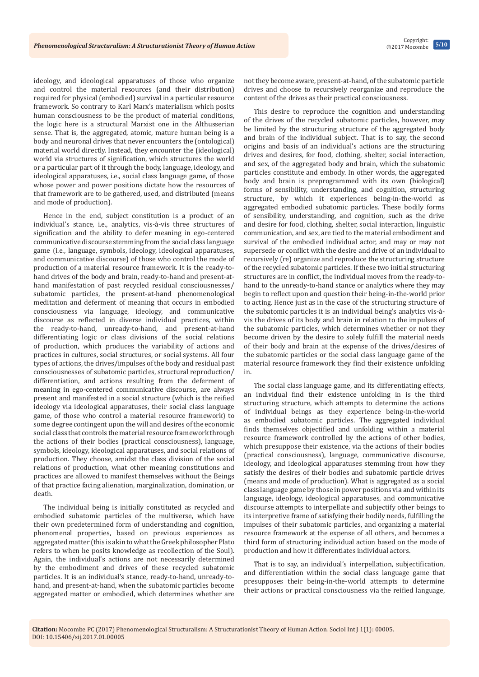ideology, and ideological apparatuses of those who organize and control the material resources (and their distribution) required for physical (embodied) survival in a particular resource framework. So contrary to Karl Marx's materialism which posits human consciousness to be the product of material conditions, the logic here is a structural Marxist one in the Althusserian sense. That is, the aggregated, atomic, mature human being is a body and neuronal drives that never encounters the (ontological) material world directly. Instead, they encounter the (ideological) world via structures of signification, which structures the world or a particular part of it through the body, language, ideology, and ideological apparatuses, i.e., social class language game, of those whose power and power positions dictate how the resources of that framework are to be gathered, used, and distributed (means and mode of production).

Hence in the end, subject constitution is a product of an individual's stance, i.e., analytics, vis-à-vis three structures of signification and the ability to defer meaning in ego-centered communicative discourse stemming from the social class language game (i.e., language, symbols, ideology, ideological apparatuses, and communicative discourse) of those who control the mode of production of a material resource framework. It is the ready-tohand drives of the body and brain, ready-to-hand and present-athand manifestation of past recycled residual consciousnesses/ subatomic particles, the present-at-hand phenomenological meditation and deferment of meaning that occurs in embodied consciousness via language, ideology, and communicative discourse as reflected in diverse individual practices, within the ready-to-hand, unready-to-hand, and present-at-hand differentiating logic or class divisions of the social relations of production, which produces the variability of actions and practices in cultures, social structures, or social systems. All four types of actions, the drives/impulses of the body and residual past consciousnesses of subatomic particles, structural reproduction/ differentiation, and actions resulting from the deferment of meaning in ego-centered communicative discourse, are always present and manifested in a social structure (which is the reified ideology via ideological apparatuses, their social class language game, of those who control a material resource framework) to some degree contingent upon the will and desires of the economic social class that controls the material resource framework through the actions of their bodies (practical consciousness), language, symbols, ideology, ideological apparatuses, and social relations of production. They choose, amidst the class division of the social relations of production, what other meaning constitutions and practices are allowed to manifest themselves without the Beings of that practice facing alienation, marginalization, domination, or death.

The individual being is initially constituted as recycled and embodied subatomic particles of the multiverse, which have their own predetermined form of understanding and cognition, phenomenal properties, based on previous experiences as aggregated matter (this is akin to what the Greek philosopher Plato refers to when he posits knowledge as recollection of the Soul). Again, the individual's actions are not necessarily determined by the embodiment and drives of these recycled subatomic particles. It is an individual's stance, ready-to-hand, unready-tohand, and present-at-hand, when the subatomic particles become aggregated matter or embodied, which determines whether are not they become aware, present-at-hand, of the subatomic particle drives and choose to recursively reorganize and reproduce the content of the drives as their practical consciousness.

This desire to reproduce the cognition and understanding of the drives of the recycled subatomic particles, however, may be limited by the structuring structure of the aggregated body and brain of the individual subject. That is to say, the second origins and basis of an individual's actions are the structuring drives and desires, for food, clothing, shelter, social interaction, and sex, of the aggregated body and brain, which the subatomic particles constitute and embody. In other words, the aggregated body and brain is preprogrammed with its own (biological) forms of sensibility, understanding, and cognition, structuring structure, by which it experiences being-in-the-world as aggregated embodied subatomic particles. These bodily forms of sensibility, understanding, and cognition, such as the drive and desire for food, clothing, shelter, social interaction, linguistic communication, and sex, are tied to the material embodiment and survival of the embodied individual actor, and may or may not supersede or conflict with the desire and drive of an individual to recursively (re) organize and reproduce the structuring structure of the recycled subatomic particles. If these two initial structuring structures are in conflict, the individual moves from the ready-tohand to the unready-to-hand stance or analytics where they may begin to reflect upon and question their being-in-the-world prior to acting. Hence just as in the case of the structuring structure of the subatomic particles it is an individual being's analytics vis-àvis the drives of its body and brain in relation to the impulses of the subatomic particles, which determines whether or not they become driven by the desire to solely fulfill the material needs of their body and brain at the expense of the drives/desires of the subatomic particles or the social class language game of the material resource framework they find their existence unfolding in.

The social class language game, and its differentiating effects, an individual find their existence unfolding in is the third structuring structure, which attempts to determine the actions of individual beings as they experience being-in-the-world as embodied subatomic particles. The aggregated individual finds themselves objectified and unfolding within a material resource framework controlled by the actions of other bodies, which presuppose their existence, via the actions of their bodies (practical consciousness), language, communicative discourse, ideology, and ideological apparatuses stemming from how they satisfy the desires of their bodies and subatomic particle drives (means and mode of production). What is aggregated as a social class language game by those in power positions via and within its language, ideology, ideological apparatuses, and communicative discourse attempts to interpellate and subjectify other beings to its interpretive frame of satisfying their bodily needs, fulfilling the impulses of their subatomic particles, and organizing a material resource framework at the expense of all others, and becomes a third form of structuring individual action based on the mode of production and how it differentiates individual actors.

That is to say, an individual's interpellation, subjectification, and differentiation within the social class language game that presupposes their being-in-the-world attempts to determine their actions or practical consciousness via the reified language,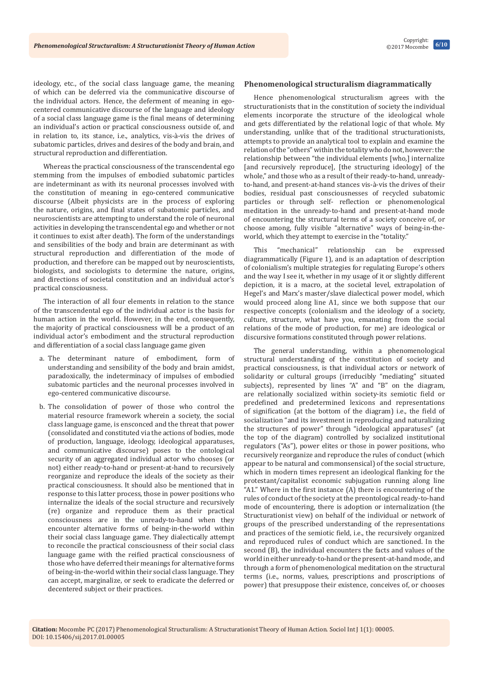ideology, etc., of the social class language game, the meaning of which can be deferred via the communicative discourse of the individual actors. Hence, the deferment of meaning in egocentered communicative discourse of the language and ideology of a social class language game is the final means of determining an individual's action or practical consciousness outside of, and in relation to, its stance, i.e., analytics, vis-à-vis the drives of subatomic particles, drives and desires of the body and brain, and structural reproduction and differentiation.

Whereas the practical consciousness of the transcendental ego stemming from the impulses of embodied subatomic particles are indeterminant as with its neuronal processes involved with the constitution of meaning in ego-centered communicative discourse (Albeit physicists are in the process of exploring the nature, origins, and final states of subatomic particles, and neuroscientists are attempting to understand the role of neuronal activities in developing the transcendental ego and whether or not it continues to exist after death). The form of the understandings and sensibilities of the body and brain are determinant as with structural reproduction and differentiation of the mode of production, and therefore can be mapped out by neuroscientists, biologists, and sociologists to determine the nature, origins, and directions of societal constitution and an individual actor's practical consciousness.

The interaction of all four elements in relation to the stance of the transcendental ego of the individual actor is the basis for human action in the world. However, in the end, consequently, the majority of practical consciousness will be a product of an individual actor's embodiment and the structural reproduction and differentiation of a social class language game given

- a. The determinant nature of embodiment, form of understanding and sensibility of the body and brain amidst, paradoxically, the indeterminacy of impulses of embodied subatomic particles and the neuronal processes involved in ego-centered communicative discourse.
- b. The consolidation of power of those who control the material resource framework wherein a society, the social class language game, is ensconced and the threat that power (consolidated and constituted via the actions of bodies, mode of production, language, ideology, ideological apparatuses, and communicative discourse) poses to the ontological security of an aggregated individual actor who chooses (or not) either ready-to-hand or present-at-hand to recursively reorganize and reproduce the ideals of the society as their practical consciousness. It should also be mentioned that in response to this latter process, those in power positions who internalize the ideals of the social structure and recursively (re) organize and reproduce them as their practical consciousness are in the unready-to-hand when they encounter alternative forms of being-in-the-world within their social class language game. They dialectically attempt to reconcile the practical consciousness of their social class language game with the reified practical consciousness of those who have deferred their meanings for alternative forms of being-in-the-world within their social class language. They can accept, marginalize, or seek to eradicate the deferred or decentered subject or their practices.

#### **Phenomenological structuralism diagrammatically**

Hence phenomenological structuralism agrees with the structurationists that in the constitution of society the individual elements incorporate the structure of the ideological whole and gets differentiated by the relational logic of that whole. My understanding, unlike that of the traditional structurationists, attempts to provide an analytical tool to explain and examine the relation of the "others" within the totality who do not, however: the relationship between "the individual elements [who,] internalize [and recursively reproduce], [the structuring ideology] of the whole," and those who as a result of their ready-to-hand, unreadyto-hand, and present-at-hand stances vis-à-vis the drives of their bodies, residual past consciousnesses of recycled subatomic particles or through self- reflection or phenomenological meditation in the unready-to-hand and present-at-hand mode of encountering the structural terms of a society conceive of, or choose among, fully visible "alternative" ways of being-in-theworld, which they attempt to exercise in the "totality."

This "mechanical" relationship can be expressed diagrammatically (Figure 1), and is an adaptation of description of colonialism's multiple strategies for regulating Europe's others and the way I see it, whether in my usage of it or slightly different depiction, it is a macro, at the societal level, extrapolation of Hegel's and Marx's master/slave dialectical power model, which would proceed along line A1, since we both suppose that our respective concepts (colonialism and the ideology of a society, culture, structure, what have you, emanating from the social relations of the mode of production, for me) are ideological or discursive formations constituted through power relations.

The general understanding, within a phenomenological structural understanding of the constitution of society and practical consciousness, is that individual actors or network of solidarity or cultural groups (irreducibly "mediating" situated subjects), represented by lines "A" and "B" on the diagram, are relationally socialized within society-its semiotic field or predefined and predetermined lexicons and representations of signification (at the bottom of the diagram) i.e., the field of socialization "and its investment in reproducing and naturalizing the structures of power" through "ideological apparatuses" (at the top of the diagram) controlled by socialized institutional regulators ("As"), power elites or those in power positions, who recursively reorganize and reproduce the rules of conduct (which appear to be natural and commonsensical) of the social structure, which in modern times represent an ideological flanking for the protestant/capitalist economic subjugation running along line "A1." Where in the first instance (A) there is encountering of the rules of conduct of the society at the preontological ready-to-hand mode of encountering, there is adoption or internalization (the Structurationist view) on behalf of the individual or network of groups of the prescribed understanding of the representations and practices of the semiotic field, i.e., the recursively organized and reproduced rules of conduct which are sanctioned. In the second (B), the individual encounters the facts and values of the world in either unready-to-hand or the present-at-hand mode, and through a form of phenomenological meditation on the structural terms (i.e., norms, values, prescriptions and proscriptions of power) that presuppose their existence, conceives of, or chooses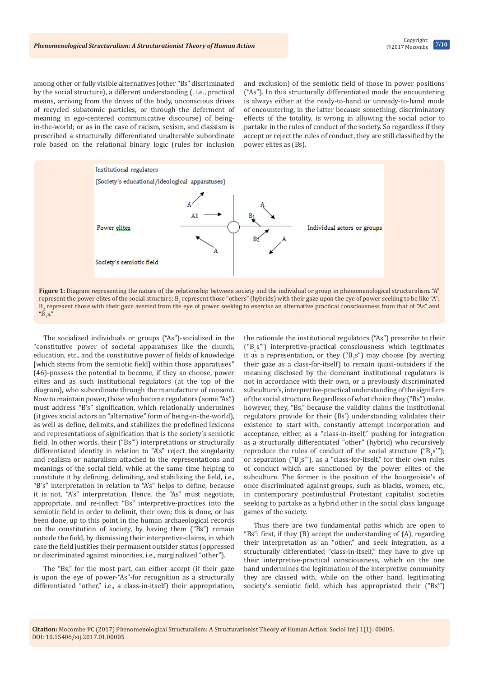among other or fully visible alternatives (other "Bs" discriminated by the social structure), a different understanding (, i.e., practical means, arriving from the drives of the body, unconscious drives of recycled subatomic particles, or through the deferment of meaning in ego-centered communicative discourse) of beingin-the-world; or as in the case of racism, sexism, and classism is prescribed a structurally differentiated unalterable subordinate role based on the relational binary logic (rules for inclusion

and exclusion) of the semiotic field of those in power positions ("As"). In this structurally differentiated mode the encountering is always either at the ready-to-hand or unready-to-hand mode of encountering, in the latter because something, discriminatory effects of the totality, is wrong in allowing the social actor to partake in the rules of conduct of the society. So regardless if they accept or reject the rules of conduct, they are still classified by the power elites as (Bs).



Figure 1: Diagram representing the nature of the relationship between society and the individual or group in phenomenological structuralism. "A" represent the power elites of the social structure;  $B_1$  represent those "others" (hybrids) with their gaze upon the eye of power seeking to be like "A";  $B_2$  represent those with their gaze averted from the eye of power seeking to exercise an alternative practical consciousness from that of "As" and " $B_1S$ ."

The socialized individuals or groups ("As")-socialized in the "constitutive power of societal apparatuses like the church, education, etc., and the constitutive power of fields of knowledge [which stems from the semiotic field] within those apparatuses" (46)-possess the potential to become, if they so choose, power elites and as such institutional regulators (at the top of the diagram), who subordinate through the manufacture of consent. Now to maintain power, those who become regulators (some "As") must address "B's" signification, which relationally undermines (it gives social actors an "alternative" form of being-in-the-world), as well as define, delimits, and stabilizes the predefined lexicons and representations of signification that is the society's semiotic field. In other words, their ("Bs'") interpretations or structurally differentiated identity in relation to "A's" reject the singularity and realism or naturalism attached to the representations and meanings of the social field, while at the same time helping to constitute it by defining, delimiting, and stabilizing the field, i.e., "B's" interpretation in relation to "A's" helps to define, because it is not, "A's" interpretation. Hence, the "As" must negotiate, appropriate, and re-inflect "Bs" interpretive-practices into the semiotic field in order to delimit, their own; this is done, or has been done, up to this point in the human archaeological records on the constitution of society, by having them ("Bs") remain outside the field, by dismissing their interpretive-claims, in which case the field justifies their permanent outsider status (oppressed or discriminated against minorities, i.e., marginalized "other").

The "Bs," for the most part, can either accept (if their gaze is upon the eye of power-"As"-for recognition as a structurally differentiated "other," i.e., a class-in-itself) their appropriation, the rationale the institutional regulators ("As") prescribe to their  $\binom{m}{1}$  interpretive-practical consciousness which legitimates it as a representation, or they  $({^{\circ}B_2}S^{\circ})$  may choose (by averting their gaze as a class-for-itself) to remain quasi-outsiders if the meaning disclosed by the dominant institutional regulators is not in accordance with their own, or a previously discriminated subculture's, interpretive-practical understanding of the signifiers of the social structure. Regardless of what choice they ("Bs") make, however, they, "Bs," because the validity claims the institutional regulators provide for their (Bs') understanding validates their existence to start with, constantly attempt incorporation and acceptance, either, as a "class-in-itself," pushing for integration as a structurally differentiated "other" (hybrid) who recursively reproduce the rules of conduct of the social structure (" $B_1 s$ "); or separation (" $B_2$ s""), as a "class-for-itself," for their own rules of conduct which are sanctioned by the power elites of the subculture. The former is the position of the bourgeoisie's of once discriminated against groups, such as blacks, women, etc., in contemporary postindustrial Protestant capitalist societies seeking to partake as a hybrid other in the social class language games of the society.

Thus there are two fundamental paths which are open to "Bs": first, if they (B) accept the understanding of (A), regarding their interpretation as an "other," and seek integration, as a structurally differentiated "class-in-itself," they have to give up their interpretive-practical consciousness, which on the one hand undermines the legitimation of the interpretive community they are classed with, while on the other hand, legitimating society's semiotic field, which has appropriated their ("Bs'")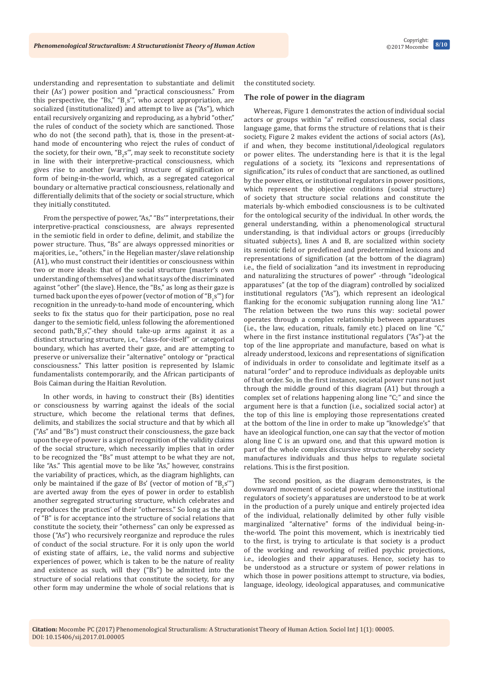understanding and representation to substantiate and delimit their (As') power position and "practical consciousness." From this perspective, the "Bs,"  $B_1s''$ , who accept appropriation, are socialized (institutionalized) and attempt to live as ("As"), which entail recursively organizing and reproducing, as a hybrid "other," the rules of conduct of the society which are sanctioned. Those who do not (the second path), that is, those in the present-athand mode of encountering who reject the rules of conduct of the society, for their own, " $B_2^{\prime}$ s", may seek to reconstitute society in line with their interpretive-practical consciousness, which gives rise to another (warring) structure of signification or form of being-in-the-world, which, as a segregated categorical boundary or alternative practical consciousness, relationally and differentially delimits that of the society or social structure, which they initially constituted.

From the perspective of power, "As," "Bs'" interpretations, their interpretive-practical consciousness, are always represented in the semiotic field in order to define, delimit, and stabilize the power structure. Thus, "Bs" are always oppressed minorities or majorities, i.e., "others," in the Hegelian master/slave relationship (A1), who must construct their identities or consciousness within two or more ideals: that of the social structure (master's own understanding of themselves) and what it says of the discriminated against "other" (the slave). Hence, the "Bs," as long as their gaze is turned back upon the eyes of power (vector of motion of " $B_1^{\prime}$ s") for recognition in the unready-to-hand mode of encountering, which seeks to fix the status quo for their participation, pose no real danger to the semiotic field, unless following the aforementioned second path,  $B_2$ s'', they should take-up arms against it as a distinct structuring structure, i.e., "class-for-itself" or categorical boundary, which has averted their gaze, and are attempting to preserve or universalize their "alternative" ontology or "practical consciousness." This latter position is represented by Islamic fundamentalists contemporarily, and the African participants of Bois Caiman during the Haitian Revolution.

In other words, in having to construct their (Bs) identities or consciousness by warring against the ideals of the social structure, which become the relational terms that defines, delimits, and stabilizes the social structure and that by which all ("As" and "Bs") must construct their consciousness, the gaze back upon the eye of power is a sign of recognition of the validity claims of the social structure, which necessarily implies that in order to be recognized the "Bs" must attempt to be what they are not, like "As." This agential move to be like "As," however, constrains the variability of practices, which, as the diagram highlights, can only be maintained if the gaze of Bs' (vector of motion of " $B_2^{\prime}$ s") are averted away from the eyes of power in order to establish another segregated structuring structure, which celebrates and reproduces the practices' of their "otherness." So long as the aim of "B" is for acceptance into the structure of social relations that constitute the society, their "otherness" can only be expressed as those ("As") who recursively reorganize and reproduce the rules of conduct of the social structure. For it is only upon the world of existing state of affairs, i.e., the valid norms and subjective experiences of power, which is taken to be the nature of reality and existence as such, will they ("Bs") be admitted into the structure of social relations that constitute the society, for any other form may undermine the whole of social relations that is the constituted society.

#### **The role of power in the diagram**

Whereas, Figure 1 demonstrates the action of individual social actors or groups within "a" reified consciousness, social class language game, that forms the structure of relations that is their society, Figure 2 makes evident the actions of social actors (As), if and when, they become institutional/ideological regulators or power elites. The understanding here is that it is the legal regulations of a society, its "lexicons and representations of signification," its rules of conduct that are sanctioned, as outlined by the power elites, or institutional regulators in power positions, which represent the objective conditions (social structure) of society that structure social relations and constitute the materials by-which embodied consciousness is to be cultivated for the ontological security of the individual. In other words, the general understanding, within a phenomenological structural understanding, is that individual actors or groups (irreducibly situated subjects), lines A and B, are socialized within society its semiotic field or predefined and predetermined lexicons and representations of signification (at the bottom of the diagram) i.e., the field of socialization "and its investment in reproducing and naturalizing the structures of power" -through "ideological apparatuses" (at the top of the diagram) controlled by socialized institutional regulators ("As"), which represent an ideological flanking for the economic subjugation running along line "A1." The relation between the two runs this way: societal power operates through a complex relationship between apparatuses (i.e., the law, education, rituals, family etc.) placed on line "C," where in the first instance institutional regulators ("As")-at the top of the line appropriate and manufacture, based on what is already understood, lexicons and representations of signification of individuals in order to consolidate and legitimate itself as a natural "order" and to reproduce individuals as deployable units of that order. So, in the first instance, societal power runs not just through the middle ground of this diagram (A1) but through a complex set of relations happening along line "C;" and since the argument here is that a function (i.e., socialized social actor) at the top of this line is employing those representations created at the bottom of the line in order to make up "knowledge's" that have an ideological function, one can say that the vector of motion along line C is an upward one, and that this upward motion is part of the whole complex discursive structure whereby society manufactures individuals and thus helps to regulate societal relations. This is the first position.

The second position, as the diagram demonstrates, is the downward movement of societal power, where the institutional regulators of society's apparatuses are understood to be at work in the production of a purely unique and entirely projected idea of the individual, relationally delimited by other fully visible marginalized "alternative" forms of the individual being-inthe-world. The point this movement, which is inextricably tied to the first, is trying to articulate is that society is a product of the working and reworking of reified psychic projections, i.e., ideologies and their apparatuses. Hence, society has to be understood as a structure or system of power relations in which those in power positions attempt to structure, via bodies, language, ideology, ideological apparatuses, and communicative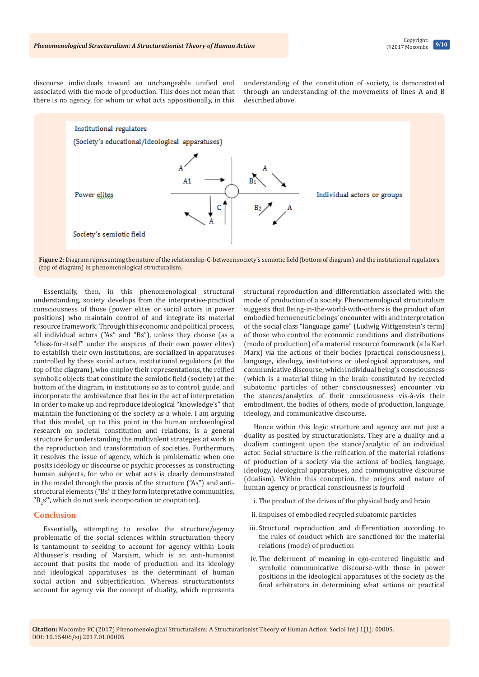discourse individuals toward an unchangeable unified end associated with the mode of production. This does not mean that there is no agency, for whom or what acts appositionally, in this

understanding of the constitution of society, is demonstrated through an understanding of the movements of lines A and B described above.



**Figure 2:** Diagram representing the nature of the relationship-C-between society's semiotic field (bottom of diagram) and the institutional regulators (top of diagram) in phenomenological structuralism.

Essentially, then, in this phenomenological structural understanding, society develops from the interpretive-practical consciousness of those (power elites or social actors in power positions) who maintain control of and integrate its material resource framework. Through this economic and political process, all individual actors ("As" and "Bs"), unless they choose (as a "class-for-itself" under the auspices of their own power elites) to establish their own institutions, are socialized in apparatuses controlled by these social actors, institutional regulators (at the top of the diagram), who employ their representations, the reified symbolic objects that constitute the semiotic field (society) at the bottom of the diagram, in institutions so as to control, guide, and incorporate the ambivalence that lies in the act of interpretation in order to make up and reproduce ideological "knowledge's" that maintain the functioning of the society as a whole. I am arguing that this model, up to this point in the human archaeological research on societal constitution and relations, is a general structure for understanding the multivalent strategies at work in the reproduction and transformation of societies. Furthermore, it resolves the issue of agency, which is problematic when one posits ideology or discourse or psychic processes as constructing human subjects, for who or what acts is clearly demonstrated in the model through the praxis of the structure ("As") and antistructural elements ("Bs" if they form interpretative communities,  $\mathrm{B}_2\mathrm{S}^{\prime\prime}$ , which do not seek incorporation or cooptation).

## **Conclusion**

Essentially, attempting to resolve the structure/agency problematic of the social sciences within structuration theory is tantamount to seeking to account for agency within Louis Althusser's reading of Marxism, which is an anti-humanist account that posits the mode of production and its ideology and ideological apparatuses as the determinant of human social action and subjectification. Whereas structurationists account for agency via the concept of duality, which represents structural reproduction and differentiation associated with the mode of production of a society. Phenomenological structuralism suggests that Being-in-the-world-with-others is the product of an embodied hermeneutic beings' encounter with and interpretation of the social class "language game" (Ludwig Wittgenstein's term) of those who control the economic conditions and distributions (mode of production) of a material resource framework (a la Karl Marx) via the actions of their bodies (practical consciousness), language, ideology, institutions or ideological apparatuses, and communicative discourse, which individual being's consciousness (which is a material thing in the brain constituted by recycled subatomic particles of other consciousnesses) encounter via the stances/analytics of their consciousness vis-à-vis their embodiment, the bodies of others, mode of production, language, ideology, and communicative discourse.

Hence within this logic structure and agency are not just a duality as posited by structurationists. They are a duality and a dualism contingent upon the stance/analytic of an individual actor. Social structure is the reification of the material relations of production of a society via the actions of bodies, language, ideology, ideological apparatuses, and communicative discourse (dualism). Within this conception, the origins and nature of human agency or practical consciousness is fourfold

- i. The product of the drives of the physical body and brain
- ii. Impulses of embodied recycled subatomic particles
- iii. Structural reproduction and differentiation according to the rules of conduct which are sanctioned for the material relations (mode) of production
- iv. The deferment of meaning in ego-centered linguistic and symbolic communicative discourse-with those in power positions in the ideological apparatuses of the society as the final arbitrators in determining what actions or practical